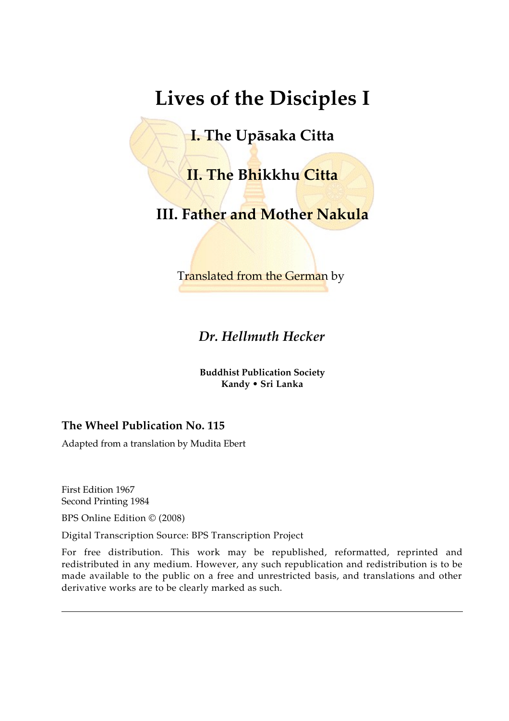# **Lives of the Disciples I**

**I. The Upāsaka Citta**

**II. The Bhikkhu Citta**

**III. Father and Mother Nakula**

Translated from the German by

*Dr. Hellmuth Hecker*

**Buddhist Publication Society Kandy • Sri Lanka**

#### **The Wheel Publication No. 115**

Adapted from a translation by Mudita Ebert

First Edition 1967 Second Printing 1984

BPS Online Edition © (2008)

Digital Transcription Source: BPS Transcription Project

For free distribution. This work may be republished, reformatted, reprinted and redistributed in any medium. However, any such republication and redistribution is to be made available to the public on a free and unrestricted basis, and translations and other derivative works are to be clearly marked as such.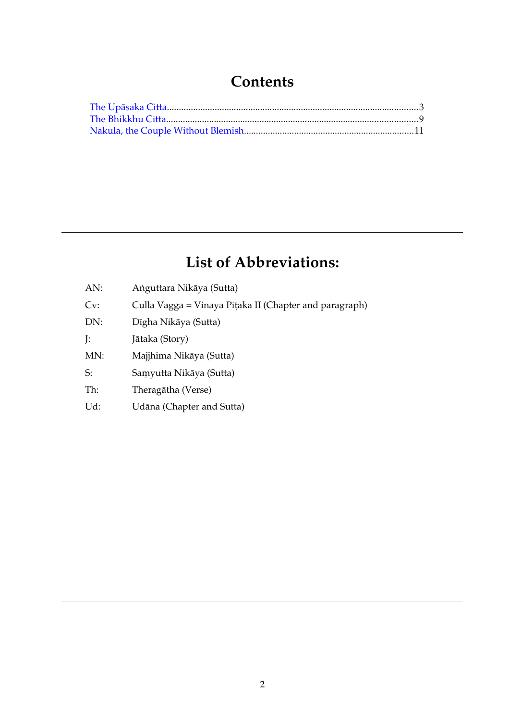### **Contents**

## **List of Abbreviations:**

| AN: | Anguttara Nikāya (Sutta)                               |
|-----|--------------------------------------------------------|
| Cv: | Culla Vagga = Vinaya Piṭaka II (Chapter and paragraph) |
| DN: | Dīgha Nikāya (Sutta)                                   |
| J:  | Jātaka (Story)                                         |
| MN: | Majjhima Nikāya (Sutta)                                |
| S:  | Samyutta Nikāya (Sutta)                                |
| Th: | Theragātha (Verse)                                     |
| Ud: | Udāna (Chapter and Sutta)                              |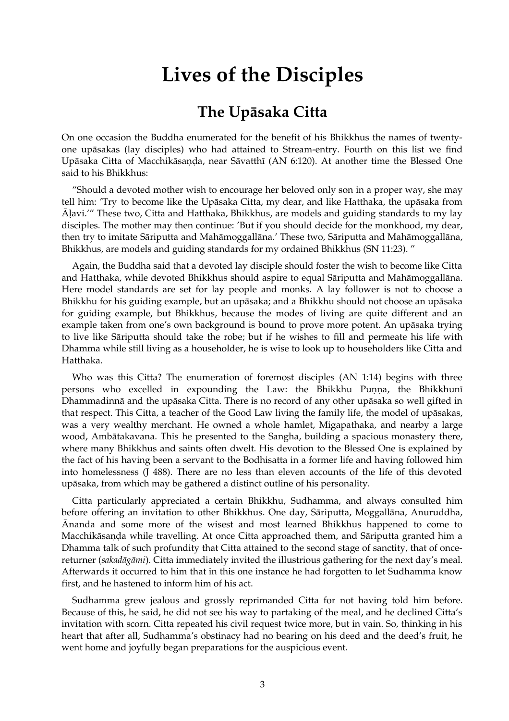## **Lives of the Disciples**

### <span id="page-2-0"></span>**The Upāsaka Citta**

On one occasion the Buddha enumerated for the benefit of his Bhikkhus the names of twentyone upāsakas (lay disciples) who had attained to Stream-entry. Fourth on this list we find Upāsaka Citta of Macchikāsaṇḍa, near Sāvatthī (AN 6:120). At another time the Blessed One said to his Bhikkhus:

"Should a devoted mother wish to encourage her beloved only son in a proper way, she may tell him: 'Try to become like the Upāsaka Citta, my dear, and like Hatthaka, the upāsaka from Āḷavi.'" These two, Citta and Hatthaka, Bhikkhus, are models and guiding standards to my lay disciples. The mother may then continue: 'But if you should decide for the monkhood, my dear, then try to imitate Sāriputta and Mahāmoggallāna.' These two, Sāriputta and Mahāmoggallāna, Bhikkhus, are models and guiding standards for my ordained Bhikkhus (SN 11:23). "

Again, the Buddha said that a devoted lay disciple should foster the wish to become like Citta and Hatthaka, while devoted Bhikkhus should aspire to equal Sāriputta and Mahāmoggallāna. Here model standards are set for lay people and monks. A lay follower is not to choose a Bhikkhu for his guiding example, but an upāsaka; and a Bhikkhu should not choose an upāsaka for guiding example, but Bhikkhus, because the modes of living are quite different and an example taken from one's own background is bound to prove more potent. An upāsaka trying to live like Sāriputta should take the robe; but if he wishes to fill and permeate his life with Dhamma while still living as a householder, he is wise to look up to householders like Citta and Hatthaka.

Who was this Citta? The enumeration of foremost disciples (AN 1:14) begins with three persons who excelled in expounding the Law: the Bhikkhu Puṇṇa, the Bhikkhunī Dhammadinnā and the upāsaka Citta. There is no record of any other upāsaka so well gifted in that respect. This Citta, a teacher of the Good Law living the family life, the model of upāsakas, was a very wealthy merchant. He owned a whole hamlet, Migapathaka, and nearby a large wood, Ambātakavana. This he presented to the Sangha, building a spacious monastery there, where many Bhikkhus and saints often dwelt. His devotion to the Blessed One is explained by the fact of his having been a servant to the Bodhisatta in a former life and having followed him into homelessness (J 488). There are no less than eleven accounts of the life of this devoted upāsaka, from which may be gathered a distinct outline of his personality.

Citta particularly appreciated a certain Bhikkhu, Sudhamma, and always consulted him before offering an invitation to other Bhikkhus. One day, Sāriputta, Moggallāna, Anuruddha, Ānanda and some more of the wisest and most learned Bhikkhus happened to come to Macchikāsaṇḍa while travelling. At once Citta approached them, and Sāriputta granted him a Dhamma talk of such profundity that Citta attained to the second stage of sanctity, that of oncereturner (*sakadāgāmi*). Citta immediately invited the illustrious gathering for the next day's meal. Afterwards it occurred to him that in this one instance he had forgotten to let Sudhamma know first, and he hastened to inform him of his act.

Sudhamma grew jealous and grossly reprimanded Citta for not having told him before. Because of this, he said, he did not see his way to partaking of the meal, and he declined Citta's invitation with scorn. Citta repeated his civil request twice more, but in vain. So, thinking in his heart that after all, Sudhamma's obstinacy had no bearing on his deed and the deed's fruit, he went home and joyfully began preparations for the auspicious event.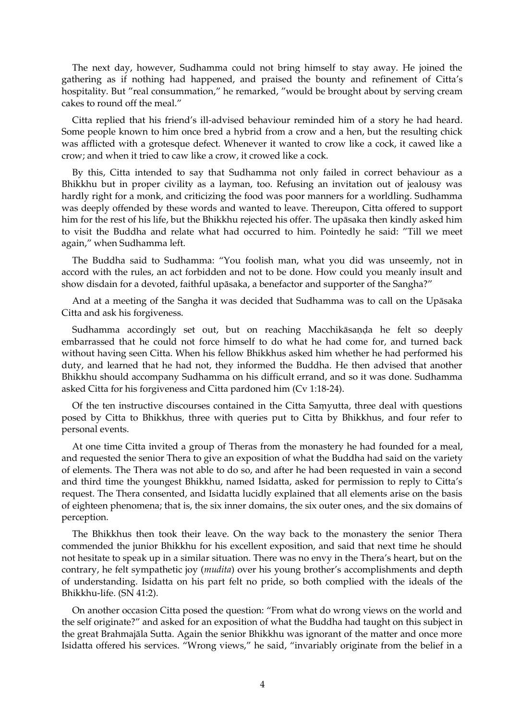The next day, however, Sudhamma could not bring himself to stay away. He joined the gathering as if nothing had happened, and praised the bounty and refinement of Citta's hospitality. But "real consummation," he remarked, "would be brought about by serving cream cakes to round off the meal."

Citta replied that his friend's ill-advised behaviour reminded him of a story he had heard. Some people known to him once bred a hybrid from a crow and a hen, but the resulting chick was afflicted with a grotesque defect. Whenever it wanted to crow like a cock, it cawed like a crow; and when it tried to caw like a crow, it crowed like a cock.

By this, Citta intended to say that Sudhamma not only failed in correct behaviour as a Bhikkhu but in proper civility as a layman, too. Refusing an invitation out of jealousy was hardly right for a monk, and criticizing the food was poor manners for a worldling. Sudhamma was deeply offended by these words and wanted to leave. Thereupon, Citta offered to support him for the rest of his life, but the Bhikkhu rejected his offer. The upāsaka then kindly asked him to visit the Buddha and relate what had occurred to him. Pointedly he said: "Till we meet again," when Sudhamma left.

The Buddha said to Sudhamma: "You foolish man, what you did was unseemly, not in accord with the rules, an act forbidden and not to be done. How could you meanly insult and show disdain for a devoted, faithful upāsaka, a benefactor and supporter of the Sangha?"

And at a meeting of the Sangha it was decided that Sudhamma was to call on the Upāsaka Citta and ask his forgiveness.

Sudhamma accordingly set out, but on reaching Macchikāsaṇḍa he felt so deeply embarrassed that he could not force himself to do what he had come for, and turned back without having seen Citta. When his fellow Bhikkhus asked him whether he had performed his duty, and learned that he had not, they informed the Buddha. He then advised that another Bhikkhu should accompany Sudhamma on his difficult errand, and so it was done. Sudhamma asked Citta for his forgiveness and Citta pardoned him (Cv 1:18-24).

Of the ten instructive discourses contained in the Citta Saṃyutta, three deal with questions posed by Citta to Bhikkhus, three with queries put to Citta by Bhikkhus, and four refer to personal events.

At one time Citta invited a group of Theras from the monastery he had founded for a meal, and requested the senior Thera to give an exposition of what the Buddha had said on the variety of elements. The Thera was not able to do so, and after he had been requested in vain a second and third time the youngest Bhikkhu, named Isidatta, asked for permission to reply to Citta's request. The Thera consented, and Isidatta lucidly explained that all elements arise on the basis of eighteen phenomena; that is, the six inner domains, the six outer ones, and the six domains of perception.

The Bhikkhus then took their leave. On the way back to the monastery the senior Thera commended the junior Bhikkhu for his excellent exposition, and said that next time he should not hesitate to speak up in a similar situation. There was no envy in the Thera's heart, but on the contrary, he felt sympathetic joy (*mudita*) over his young brother's accomplishments and depth of understanding. Isidatta on his part felt no pride, so both complied with the ideals of the Bhikkhu-life. (SN 41:2).

On another occasion Citta posed the question: "From what do wrong views on the world and the self originate?" and asked for an exposition of what the Buddha had taught on this subject in the great Brahmajāla Sutta. Again the senior Bhikkhu was ignorant of the matter and once more Isidatta offered his services. "Wrong views," he said, "invariably originate from the belief in a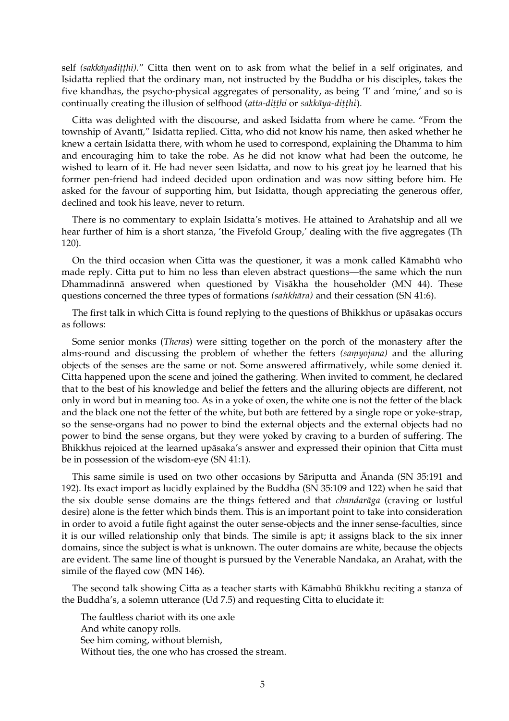self *(sakkāyadiṭṭhi).*" Citta then went on to ask from what the belief in a self originates, and Isidatta replied that the ordinary man, not instructed by the Buddha or his disciples, takes the five khandhas, the psycho-physical aggregates of personality, as being 'I' and 'mine,' and so is continually creating the illusion of selfhood (*atta-diṭṭhi* or *sakkāya-diṭṭhi*)*.*

Citta was delighted with the discourse, and asked Isidatta from where he came. "From the township of Avantī," Isidatta replied. Citta, who did not know his name, then asked whether he knew a certain Isidatta there, with whom he used to correspond, explaining the Dhamma to him and encouraging him to take the robe. As he did not know what had been the outcome, he wished to learn of it. He had never seen Isidatta, and now to his great joy he learned that his former pen-friend had indeed decided upon ordination and was now sitting before him. He asked for the favour of supporting him, but Isidatta, though appreciating the generous offer, declined and took his leave, never to return.

There is no commentary to explain Isidatta's motives. He attained to Arahatship and all we hear further of him is a short stanza, 'the Fivefold Group,' dealing with the five aggregates (Th 120).

On the third occasion when Citta was the questioner, it was a monk called Kāmabhū who made reply. Citta put to him no less than eleven abstract questions—the same which the nun Dhammadinnā answered when questioned by Visākha the householder (MN 44). These questions concerned the three types of formations *(saṅkhāra)* and their cessation (SN 41:6).

The first talk in which Citta is found replying to the questions of Bhikkhus or upāsakas occurs as follows:

Some senior monks (*Theras*) were sitting together on the porch of the monastery after the alms-round and discussing the problem of whether the fetters *(saṃyojana)* and the alluring objects of the senses are the same or not. Some answered affirmatively, while some denied it. Citta happened upon the scene and joined the gathering. When invited to comment, he declared that to the best of his knowledge and belief the fetters and the alluring objects are different, not only in word but in meaning too. As in a yoke of oxen, the white one is not the fetter of the black and the black one not the fetter of the white, but both are fettered by a single rope or yoke-strap, so the sense-organs had no power to bind the external objects and the external objects had no power to bind the sense organs, but they were yoked by craving to a burden of suffering. The Bhikkhus rejoiced at the learned upāsaka's answer and expressed their opinion that Citta must be in possession of the wisdom-eye (SN 41:1).

This same simile is used on two other occasions by Sāriputta and Ānanda (SN 35:191 and 192). Its exact import as lucidly explained by the Buddha (SN 35:109 and 122) when he said that the six double sense domains are the things fettered and that *chandarāga* (craving or lustful desire) alone is the fetter which binds them. This is an important point to take into consideration in order to avoid a futile fight against the outer sense-objects and the inner sense-faculties, since it is our willed relationship only that binds. The simile is apt; it assigns black to the six inner domains, since the subject is what is unknown. The outer domains are white, because the objects are evident. The same line of thought is pursued by the Venerable Nandaka, an Arahat, with the simile of the flayed cow (MN 146).

The second talk showing Citta as a teacher starts with Kāmabhū Bhikkhu reciting a stanza of the Buddha's, a solemn utterance (Ud 7.5) and requesting Citta to elucidate it:

The faultless chariot with its one axle And white canopy rolls. See him coming, without blemish, Without ties, the one who has crossed the stream.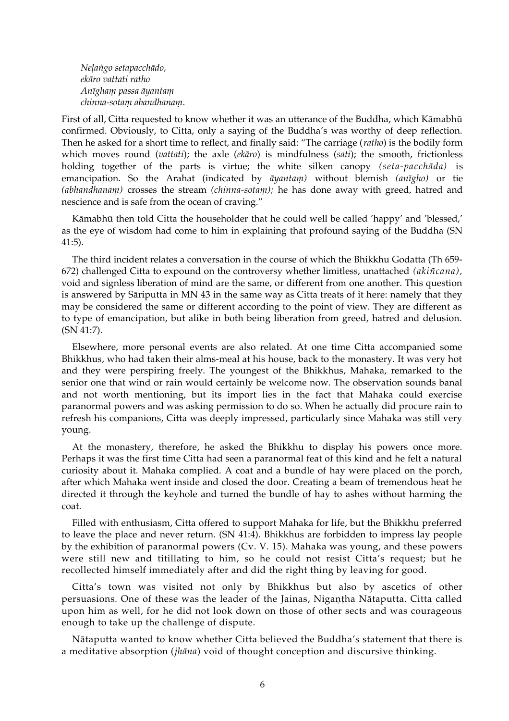*Neḷaṅgo setapacchādo, ekāro vattati ratho Anīghaṃ passa āyantaṃ chinna-sotaṃ abandhanaṃ*.

First of all, Citta requested to know whether it was an utterance of the Buddha, which Kāmabhū confirmed. Obviously, to Citta, only a saying of the Buddha's was worthy of deep reflection. Then he asked for a short time to reflect, and finally said: "The carriage (*ratho*) is the bodily form which moves round (*vattati*); the axle (*ekāro*) is mindfulness (*sati*); the smooth, frictionless holding together of the parts is virtue; the white silken canopy *(seta-pacchāda)* is emancipation. So the Arahat (indicated by *āyantaṃ)* without blemish *(anīgho)* or tie *(abhandhanaṃ)* crosses the stream *(chinna-sotaṃ);* he has done away with greed, hatred and nescience and is safe from the ocean of craving."

Kāmabhū then told Citta the householder that he could well be called 'happy' and 'blessed,' as the eye of wisdom had come to him in explaining that profound saying of the Buddha (SN 41:5).

The third incident relates a conversation in the course of which the Bhikkhu Godatta (Th 659- 672) challenged Citta to expound on the controversy whether limitless, unattached *(akiñcana),* void and signless liberation of mind are the same, or different from one another. This question is answered by Sāriputta in MN 43 in the same way as Citta treats of it here: namely that they may be considered the same or different according to the point of view. They are different as to type of emancipation, but alike in both being liberation from greed, hatred and delusion. (SN 41:7).

Elsewhere, more personal events are also related. At one time Citta accompanied some Bhikkhus, who had taken their alms-meal at his house, back to the monastery. It was very hot and they were perspiring freely. The youngest of the Bhikkhus, Mahaka, remarked to the senior one that wind or rain would certainly be welcome now. The observation sounds banal and not worth mentioning, but its import lies in the fact that Mahaka could exercise paranormal powers and was asking permission to do so. When he actually did procure rain to refresh his companions, Citta was deeply impressed, particularly since Mahaka was still very young.

At the monastery, therefore, he asked the Bhikkhu to display his powers once more. Perhaps it was the first time Citta had seen a paranormal feat of this kind and he felt a natural curiosity about it. Mahaka complied. A coat and a bundle of hay were placed on the porch, after which Mahaka went inside and closed the door. Creating a beam of tremendous heat he directed it through the keyhole and turned the bundle of hay to ashes without harming the coat.

Filled with enthusiasm, Citta offered to support Mahaka for life, but the Bhikkhu preferred to leave the place and never return. (SN 41:4). Bhikkhus are forbidden to impress lay people by the exhibition of paranormal powers (Cv. V. 15). Mahaka was young, and these powers were still new and titillating to him, so he could not resist Citta's request; but he recollected himself immediately after and did the right thing by leaving for good.

Citta's town was visited not only by Bhikkhus but also by ascetics of other persuasions. One of these was the leader of the Jainas, Nigaṇṭha Nātaputta. Citta called upon him as well, for he did not look down on those of other sects and was courageous enough to take up the challenge of dispute.

Nātaputta wanted to know whether Citta believed the Buddha's statement that there is a meditative absorption (*jhāna*) void of thought conception and discursive thinking.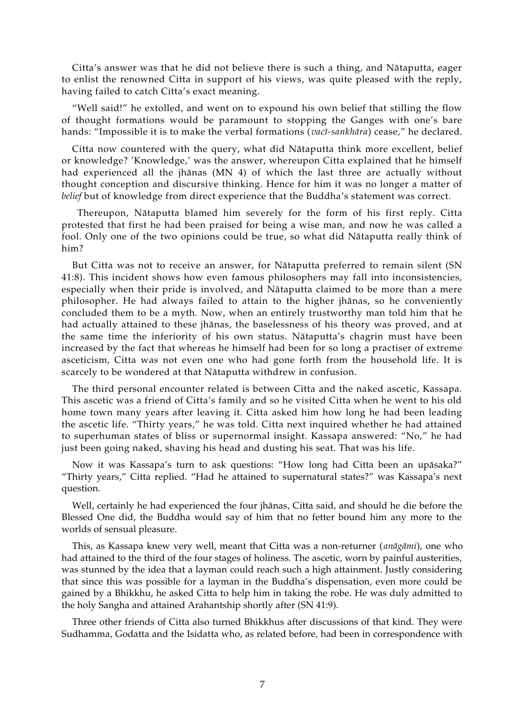Citta's answer was that he did not believe there is such a thing, and Nātaputta, eager to enlist the renowned Citta in support of his views, was quite pleased with the reply, having failed to catch Citta's exact meaning.

"Well said!" he extolled, and went on to expound his own belief that stilling the flow of thought formations would be paramount to stopping the Ganges with one's bare hands: "Impossible it is to make the verbal formations (*vacī-sankhāra*) cease," he declared.

Citta now countered with the query, what did Nātaputta think more excellent, belief or knowledge? 'Knowledge,' was the answer, whereupon Citta explained that he himself had experienced all the jhānas (MN 4) of which the last three are actually without thought conception and discursive thinking. Hence for him it was no longer a matter of *belief* but of knowledge from direct experience that the Buddha's statement was correct.

 Thereupon, Nātaputta blamed him severely for the form of his first reply. Citta protested that first he had been praised for being a wise man, and now he was called a fool. Only one of the two opinions could be true, so what did Nātaputta really think of him?

But Citta was not to receive an answer, for Nātaputta preferred to remain silent (SN 41:8). This incident shows how even famous philosophers may fall into inconsistencies, especially when their pride is involved, and Nātaputta claimed to be more than a mere philosopher. He had always failed to attain to the higher jhānas, so he conveniently concluded them to be a myth. Now, when an entirely trustworthy man told him that he had actually attained to these jhānas, the baselessness of his theory was proved, and at the same time the inferiority of his own status. Nātaputta's chagrin must have been increased by the fact that whereas he himself had been for so long a practiser of extreme asceticism, Citta was not even one who had gone forth from the household life. It is scarcely to be wondered at that Nātaputta withdrew in confusion.

The third personal encounter related is between Citta and the naked ascetic, Kassapa. This ascetic was a friend of Citta's family and so he visited Citta when he went to his old home town many years after leaving it. Citta asked him how long he had been leading the ascetic life. "Thirty years," he was told. Citta next inquired whether he had attained to superhuman states of bliss or supernormal insight. Kassapa answered: "No," he had just been going naked, shaving his head and dusting his seat. That was his life.

Now it was Kassapa's turn to ask questions: "How long had Citta been an upāsaka?" "Thirty years," Citta replied. "Had he attained to supernatural states?" was Kassapa's next question.

Well, certainly he had experienced the four jhānas, Citta said, and should he die before the Blessed One did, the Buddha would say of him that no fetter bound him any more to the worlds of sensual pleasure.

This, as Kassapa knew very well, meant that Citta was a non-returner ( *anāgāmi*), one who had attained to the third of the four stages of holiness. The ascetic, worn by painful austerities, was stunned by the idea that a layman could reach such a high attainment. Justly considering that since this was possible for a layman in the Buddha's dispensation, even more could be gained by a Bhikkhu, he asked Citta to help him in taking the robe. He was duly admitted to the holy Sangha and attained Arahantship shortly after (SN 41:9).

Three other friends of Citta also turned Bhikkhus after discussions of that kind. They were Sudhamma, Godatta and the Isidatta who, as related before, had been in correspondence with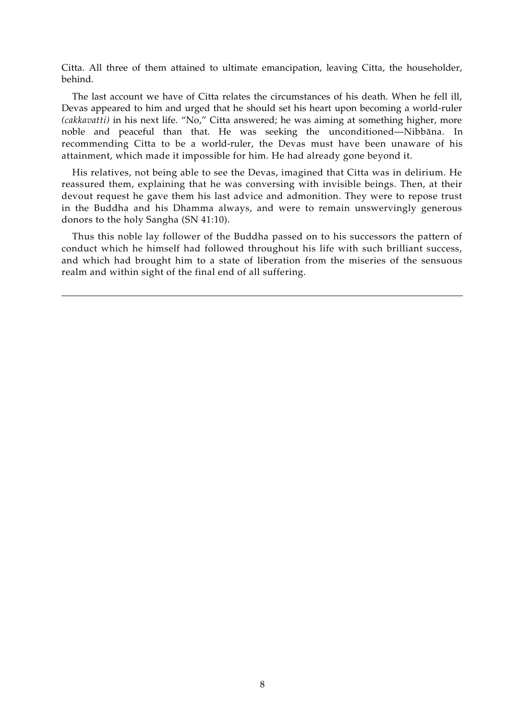Citta. All three of them attained to ultimate emancipation, leaving Citta, the householder, behind.

The last account we have of Citta relates the circumstances of his death. When he fell ill, Devas appeared to him and urged that he should set his heart upon becoming a world-ruler *(cakkavatti)* in his next life. "No," Citta answered; he was aiming at something higher, more noble and peaceful than that. He was seeking the unconditioned—Nibbāna. In recommending Citta to be a world-ruler, the Devas must have been unaware of his attainment, which made it impossible for him. He had already gone beyond it.

His relatives, not being able to see the Devas, imagined that Citta was in delirium. He reassured them, explaining that he was conversing with invisible beings. Then, at their devout request he gave them his last advice and admonition. They were to repose trust in the Buddha and his Dhamma always, and were to remain unswervingly generous donors to the holy Sangha (SN 41:10).

Thus this noble lay follower of the Buddha passed on to his successors the pattern of conduct which he himself had followed throughout his life with such brilliant success, and which had brought him to a state of liberation from the miseries of the sensuous realm and within sight of the final end of all suffering.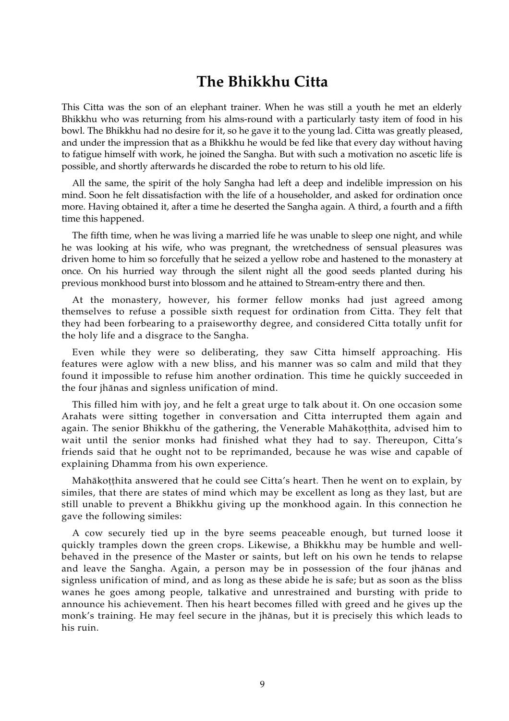#### <span id="page-8-0"></span>**The Bhikkhu Citta**

This Citta was the son of an elephant trainer. When he was still a youth he met an elderly Bhikkhu who was returning from his alms-round with a particularly tasty item of food in his bowl. The Bhikkhu had no desire for it, so he gave it to the young lad. Citta was greatly pleased, and under the impression that as a Bhikkhu he would be fed like that every day without having to fatigue himself with work, he joined the Sangha. But with such a motivation no ascetic life is possible, and shortly afterwards he discarded the robe to return to his old life.

All the same, the spirit of the holy Sangha had left a deep and indelible impression on his mind. Soon he felt dissatisfaction with the life of a householder, and asked for ordination once more. Having obtained it, after a time he deserted the Sangha again. A third, a fourth and a fifth time this happened.

The fifth time, when he was living a married life he was unable to sleep one night, and while he was looking at his wife, who was pregnant, the wretchedness of sensual pleasures was driven home to him so forcefully that he seized a yellow robe and hastened to the monastery at once. On his hurried way through the silent night all the good seeds planted during his previous monkhood burst into blossom and he attained to Stream-entry there and then.

At the monastery, however, his former fellow monks had just agreed among themselves to refuse a possible sixth request for ordination from Citta. They felt that they had been forbearing to a praiseworthy degree, and considered Citta totally unfit for the holy life and a disgrace to the Sangha.

Even while they were so deliberating, they saw Citta himself approaching. His features were aglow with a new bliss, and his manner was so calm and mild that they found it impossible to refuse him another ordination. This time he quickly succeeded in the four jhānas and signless unification of mind.

This filled him with joy, and he felt a great urge to talk about it. On one occasion some Arahats were sitting together in conversation and Citta interrupted them again and again. The senior Bhikkhu of the gathering, the Venerable Mahākoṭṭhita, advised him to wait until the senior monks had finished what they had to say. Thereupon, Citta's friends said that he ought not to be reprimanded, because he was wise and capable of explaining Dhamma from his own experience.

Mahākoṭṭhita answered that he could see Citta's heart. Then he went on to explain, by similes, that there are states of mind which may be excellent as long as they last, but are still unable to prevent a Bhikkhu giving up the monkhood again. In this connection he gave the following similes:

A cow securely tied up in the byre seems peaceable enough, but turned loose it quickly tramples down the green crops. Likewise, a Bhikkhu may be humble and wellbehaved in the presence of the Master or saints, but left on his own he tends to relapse and leave the Sangha. Again, a person may be in possession of the four jhānas and signless unification of mind, and as long as these abide he is safe; but as soon as the bliss wanes he goes among people, talkative and unrestrained and bursting with pride to announce his achievement. Then his heart becomes filled with greed and he gives up the monk's training. He may feel secure in the jhānas, but it is precisely this which leads to his ruin.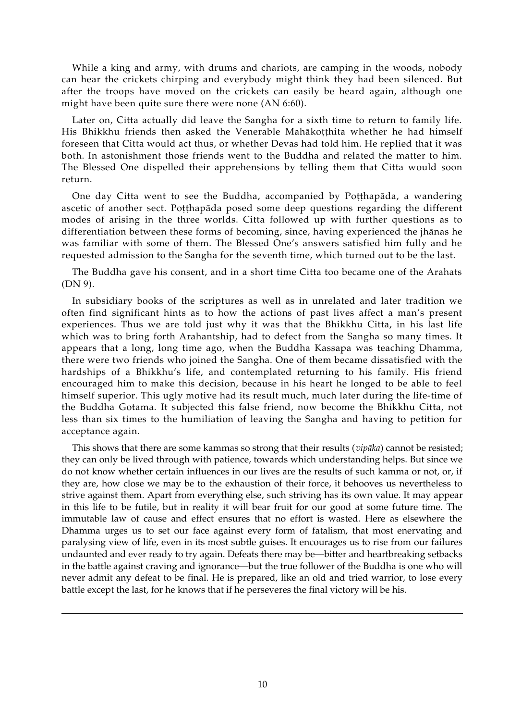While a king and army, with drums and chariots, are camping in the woods, nobody can hear the crickets chirping and everybody might think they had been silenced. But after the troops have moved on the crickets can easily be heard again, although one might have been quite sure there were none (AN 6:60).

Later on, Citta actually did leave the Sangha for a sixth time to return to family life. His Bhikkhu friends then asked the Venerable Mahākotthita whether he had himself foreseen that Citta would act thus, or whether Devas had told him. He replied that it was both. In astonishment those friends went to the Buddha and related the matter to him. The Blessed One dispelled their apprehensions by telling them that Citta would soon return.

One day Citta went to see the Buddha, accompanied by Poṭṭhapāda, a wandering ascetic of another sect. Poṭṭhapāda posed some deep questions regarding the different modes of arising in the three worlds. Citta followed up with further questions as to differentiation between these forms of becoming, since, having experienced the jhānas he was familiar with some of them. The Blessed One's answers satisfied him fully and he requested admission to the Sangha for the seventh time, which turned out to be the last.

The Buddha gave his consent, and in a short time Citta too became one of the Arahats (DN 9).

In subsidiary books of the scriptures as well as in unrelated and later tradition we often find significant hints as to how the actions of past lives affect a man's present experiences. Thus we are told just why it was that the Bhikkhu Citta, in his last life which was to bring forth Arahantship, had to defect from the Sangha so many times. It appears that a long, long time ago, when the Buddha Kassapa was teaching Dhamma, there were two friends who joined the Sangha. One of them became dissatisfied with the hardships of a Bhikkhu's life, and contemplated returning to his family. His friend encouraged him to make this decision, because in his heart he longed to be able to feel himself superior. This ugly motive had its result much, much later during the life-time of the Buddha Gotama. It subjected this false friend, now become the Bhikkhu Citta, not less than six times to the humiliation of leaving the Sangha and having to petition for acceptance again.

This shows that there are some kammas so strong that their results (*vipāka*) cannot be resisted; they can only be lived through with patience, towards which understanding helps. But since we do not know whether certain influences in our lives are the results of such kamma or not, or, if they are, how close we may be to the exhaustion of their force, it behooves us nevertheless to strive against them. Apart from everything else, such striving has its own value. It may appear in this life to be futile, but in reality it will bear fruit for our good at some future time. The immutable law of cause and effect ensures that no effort is wasted. Here as elsewhere the Dhamma urges us to set our face against every form of fatalism, that most enervating and paralysing view of life, even in its most subtle guises. It encourages us to rise from our failures undaunted and ever ready to try again. Defeats there may be—bitter and heartbreaking setbacks in the battle against craving and ignorance—but the true follower of the Buddha is one who will never admit any defeat to be final. He is prepared, like an old and tried warrior, to lose every battle except the last, for he knows that if he perseveres the final victory will be his.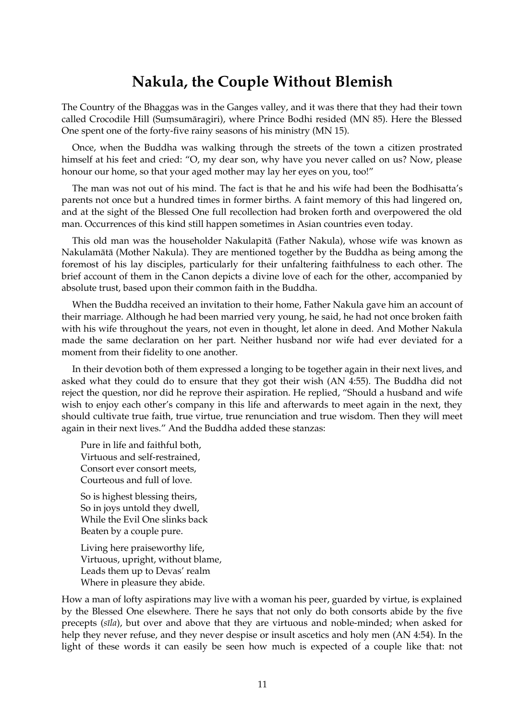### <span id="page-10-0"></span>**Nakula, the Couple Without Blemish**

The Country of the Bhaggas was in the Ganges valley, and it was there that they had their town called Crocodile Hill (Suṃsumāragiri), where Prince Bodhi resided (MN 85). Here the Blessed One spent one of the forty-five rainy seasons of his ministry (MN 15).

Once, when the Buddha was walking through the streets of the town a citizen prostrated himself at his feet and cried: "O, my dear son, why have you never called on us? Now, please honour our home, so that your aged mother may lay her eyes on you, too!"

The man was not out of his mind. The fact is that he and his wife had been the Bodhisatta's parents not once but a hundred times in former births. A faint memory of this had lingered on, and at the sight of the Blessed One full recollection had broken forth and overpowered the old man. Occurrences of this kind still happen sometimes in Asian countries even today.

This old man was the householder Nakulapitā (Father Nakula), whose wife was known as Nakulamātā (Mother Nakula). They are mentioned together by the Buddha as being among the foremost of his lay disciples, particularly for their unfaltering faithfulness to each other. The brief account of them in the Canon depicts a divine love of each for the other, accompanied by absolute trust, based upon their common faith in the Buddha.

When the Buddha received an invitation to their home, Father Nakula gave him an account of their marriage. Although he had been married very young, he said, he had not once broken faith with his wife throughout the years, not even in thought, let alone in deed. And Mother Nakula made the same declaration on her part. Neither husband nor wife had ever deviated for a moment from their fidelity to one another.

In their devotion both of them expressed a longing to be together again in their next lives, and asked what they could do to ensure that they got their wish (AN 4:55). The Buddha did not reject the question, nor did he reprove their aspiration. He replied, "Should a husband and wife wish to enjoy each other's company in this life and afterwards to meet again in the next, they should cultivate true faith, true virtue, true renunciation and true wisdom. Then they will meet again in their next lives." And the Buddha added these stanzas:

Pure in life and faithful both, Virtuous and self-restrained, Consort ever consort meets, Courteous and full of love.

So is highest blessing theirs, So in joys untold they dwell, While the Evil One slinks back Beaten by a couple pure.

Living here praiseworthy life, Virtuous, upright, without blame, Leads them up to Devas' realm Where in pleasure they abide.

How a man of lofty aspirations may live with a woman his peer, guarded by virtue, is explained by the Blessed One elsewhere. There he says that not only do both consorts abide by the five precepts (*sīla*), but over and above that they are virtuous and noble-minded; when asked for help they never refuse, and they never despise or insult ascetics and holy men (AN 4:54). In the light of these words it can easily be seen how much is expected of a couple like that: not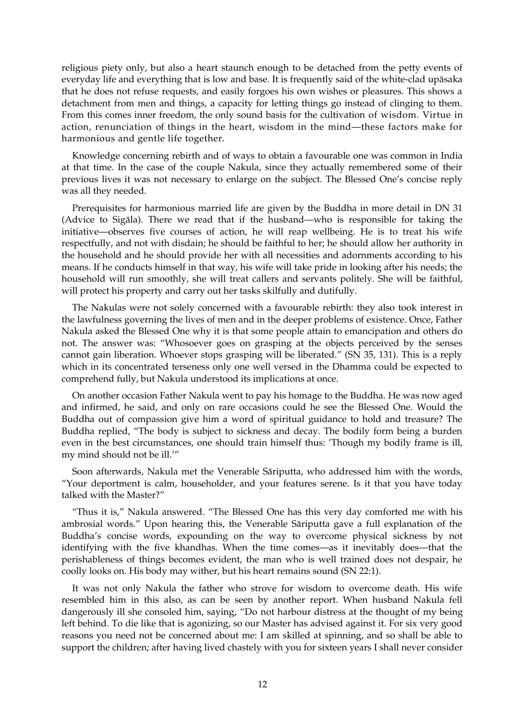religious piety only, but also a heart staunch enough to be detached from the petty events of everyday life and everything that is low and base. It is frequently said of the white-clad upāsaka that he does not refuse requests, and easily forgoes his own wishes or pleasures. This shows a detachment from men and things, a capacity for letting things go instead of clinging to them. From this comes inner freedom, the only sound basis for the cultivation of wisdom. Virtue in action, renunciation of things in the heart, wisdom in the mind—these factors make for harmonious and gentle life together.

Knowledge concerning rebirth and of ways to obtain a favourable one was common in India at that time. In the case of the couple Nakula, since they actually remembered some of their previous lives it was not necessary to enlarge on the subject. The Blessed One's concise reply was all they needed.

Prerequisites for harmonious married life are given by the Buddha in more detail in DN 31 (Advice to Sigāla). There we read that if the husband—who is responsible for taking the initiative—observes five courses of action, he will reap wellbeing. He is to treat his wife respectfully, and not with disdain; he should be faithful to her; he should allow her authority in the household and he should provide her with all necessities and adornments according to his means. If he conducts himself in that way, his wife will take pride in looking after his needs; the household will run smoothly, she will treat callers and servants politely. She will be faithful, will protect his property and carry out her tasks skilfully and dutifully.

The Nakulas were not solely concerned with a favourable rebirth: they also took interest in the lawfulness governing the lives of men and in the deeper problems of existence. Once, Father Nakula asked the Blessed One why it is that some people attain to emancipation and others do not. The answer was: "Whosoever goes on grasping at the objects perceived by the senses cannot gain liberation. Whoever stops grasping will be liberated." (SN 35, 131). This is a reply which in its concentrated terseness only one well versed in the Dhamma could be expected to comprehend fully, but Nakula understood its implications at once.

On another occasion Father Nakula went to pay his homage to the Buddha. He was now aged and infirmed, he said, and only on rare occasions could he see the Blessed One. Would the Buddha out of compassion give him a word of spiritual guidance to hold and treasure? The Buddha replied, "The body is subject to sickness and decay. The bodily form being a burden even in the best circumstances, one should train himself thus: 'Though my bodily frame is ill, my mind should not be ill.'"

Soon afterwards, Nakula met the Venerable Sāriputta, who addressed him with the words, "Your deportment is calm, householder, and your features serene. Is it that you have today talked with the Master?"

"Thus it is," Nakula answered. "The Blessed One has this very day comforted me with his ambrosial words." Upon hearing this, the Venerable Sāriputta gave a full explanation of the Buddha's concise words, expounding on the way to overcome physical sickness by not identifying with the five khandhas. When the time comes—as it inevitably does—that the perishableness of things becomes evident, the man who is well trained does not despair, he coolly looks on. His body may wither, but his heart remains sound (SN 22:1).

It was not only Nakula the father who strove for wisdom to overcome death. His wife resembled him in this also, as can be seen by another report. When husband Nakula fell dangerously ill she consoled him, saying, "Do not harbour distress at the thought of my being left behind. To die like that is agonizing, so our Master has advised against it. For six very good reasons you need not be concerned about me: I am skilled at spinning, and so shall be able to support the children; after having lived chastely with you for sixteen years I shall never consider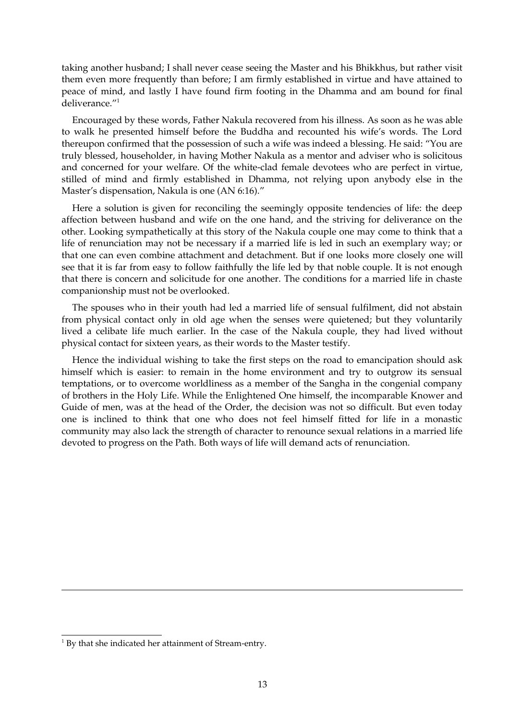taking another husband; I shall never cease seeing the Master and his Bhikkhus, but rather visit them even more frequently than before; I am firmly established in virtue and have attained to peace of mind, and lastly I have found firm footing in the Dhamma and am bound for final deliverance."<sup>[1](#page-12-0)</sup>

Encouraged by these words, Father Nakula recovered from his illness. As soon as he was able to walk he presented himself before the Buddha and recounted his wife's words. The Lord thereupon confirmed that the possession of such a wife was indeed a blessing. He said: "You are truly blessed, householder, in having Mother Nakula as a mentor and adviser who is solicitous and concerned for your welfare. Of the white-clad female devotees who are perfect in virtue, stilled of mind and firmly established in Dhamma, not relying upon anybody else in the Master's dispensation, Nakula is one (AN 6:16)."

Here a solution is given for reconciling the seemingly opposite tendencies of life: the deep affection between husband and wife on the one hand, and the striving for deliverance on the other. Looking sympathetically at this story of the Nakula couple one may come to think that a life of renunciation may not be necessary if a married life is led in such an exemplary way; or that one can even combine attachment and detachment. But if one looks more closely one will see that it is far from easy to follow faithfully the life led by that noble couple. It is not enough that there is concern and solicitude for one another. The conditions for a married life in chaste companionship must not be overlooked.

The spouses who in their youth had led a married life of sensual fulfilment, did not abstain from physical contact only in old age when the senses were quietened; but they voluntarily lived a celibate life much earlier. In the case of the Nakula couple, they had lived without physical contact for sixteen years, as their words to the Master testify.

Hence the individual wishing to take the first steps on the road to emancipation should ask himself which is easier: to remain in the home environment and try to outgrow its sensual temptations, or to overcome worldliness as a member of the Sangha in the congenial company of brothers in the Holy Life. While the Enlightened One himself, the incomparable Knower and Guide of men, was at the head of the Order, the decision was not so difficult. But even today one is inclined to think that one who does not feel himself fitted for life in a monastic community may also lack the strength of character to renounce sexual relations in a married life devoted to progress on the Path. Both ways of life will demand acts of renunciation.

<span id="page-12-0"></span><sup>&</sup>lt;sup>1</sup> By that she indicated her attainment of Stream-entry.